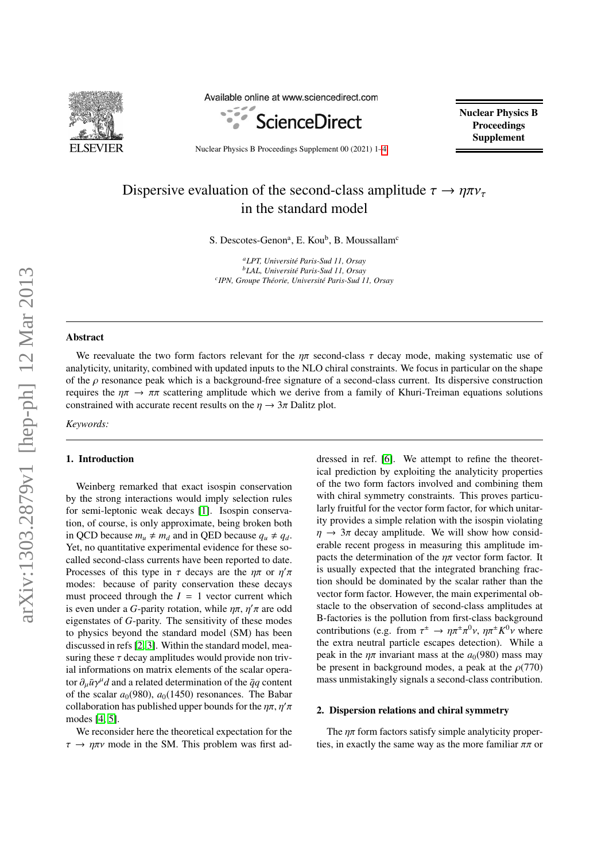

Available online at www.sciencedirect.com



Nuclear Physics B **Proceedings** Supplement

Nuclear Physics B Proceedings Supplement 00 (2021) 1[–4](#page-3-0)

# Dispersive evaluation of the second-class amplitude  $\tau \to \eta \pi \nu_{\tau}$ in the standard model

S. Descotes-Genon<sup>a</sup>, E. Kou<sup>b</sup>, B. Moussallam<sup>c</sup>

*<sup>a</sup>LPT, Universit´e Paris-Sud 11, Orsay <sup>b</sup>LAL, Universit´e Paris-Sud 11, Orsay c IPN, Groupe Th´eorie, Universit´e Paris-Sud 11, Orsay*

# Abstract

We reevaluate the two form factors relevant for the  $\eta\pi$  second-class  $\tau$  decay mode, making systematic use of analyticity, unitarity, combined with updated inputs to the NLO chiral constraints. We focus in particular on the shape of the  $\rho$  resonance peak which is a background-free signature of a second-class current. Its dispersive construction requires the  $\eta\pi \to \pi\pi$  scattering amplitude which we derive from a family of Khuri-Treiman equations solutions constrained with accurate recent results on the  $\eta \to 3\pi$  Dalitz plot.

*Keywords:*

#### 1. Introduction

Weinberg remarked that exact isospin conservation by the strong interactions would imply selection rules for semi-leptonic weak decays [\[1\]](#page-3-1). Isospin conservation, of course, is only approximate, being broken both in QCD because  $m_u \neq m_d$  and in QED because  $q_u \neq q_d$ . Yet, no quantitative experimental evidence for these socalled second-class currents have been reported to date. Processes of this type in  $\tau$  decays are the  $\eta \tau$  or  $\eta'$ <br>modes: because of parity conservation these decay modes: because of parity conservation these decays must proceed through the  $I = 1$  vector current which is even under a *G*-parity rotation, while  $\eta \pi$ ,  $\eta' \pi$  are odderessed as *G*-parity. The sensitivity of these modes eigenstates of *G*-parity. The sensitivity of these modes to physics beyond the standard model (SM) has been discussed in refs [\[2,](#page-3-2) [3\]](#page-3-3). Within the standard model, measuring these  $\tau$  decay amplitudes would provide non trivial informations on matrix elements of the scalar operator  $\partial_{\mu} \bar{u} \gamma^{\mu} d$  and a related determination of the  $\bar{q}q$  content<br>of the scalar  $g_{\alpha}(980)$ ,  $g_{\alpha}(1450)$  resonances. The Babar of the scalar  $a_0(980)$ ,  $a_0(1450)$  resonances. The Babar collaboration has published upper bounds for the  $\eta \pi$ ,  $\eta'$ <br>modes [4, 5] modes [\[4,](#page-3-4) [5\]](#page-3-5).

We reconsider here the theoretical expectation for the  $\tau \to \eta \pi \nu$  mode in the SM. This problem was first ad-

dressed in ref. [\[6\]](#page-3-6). We attempt to refine the theoretical prediction by exploiting the analyticity properties of the two form factors involved and combining them with chiral symmetry constraints. This proves particularly fruitful for the vector form factor, for which unitarity provides a simple relation with the isospin violating  $\eta \rightarrow 3\pi$  decay amplitude. We will show how considerable recent progess in measuring this amplitude impacts the determination of the  $n\pi$  vector form factor. It is usually expected that the integrated branching fraction should be dominated by the scalar rather than the vector form factor. However, the main experimental obstacle to the observation of second-class amplitudes at B-factories is the pollution from first-class background contributions (e.g. from  $\tau^{\pm} \to \eta \pi^{\pm} \pi^{0} \nu$ ,  $\eta \pi^{\pm} K^{0} \nu$  where the extra neutral particle escapes detection). While a peak in the  $n\pi$  invariant mass at the  $a_0(980)$  mass may be present in background modes, a peak at the  $\rho(770)$ mass unmistakingly signals a second-class contribution.

#### 2. Dispersion relations and chiral symmetry

The  $\eta\pi$  form factors satisfy simple analyticity properties, in exactly the same way as the more familiar  $\pi\pi$  or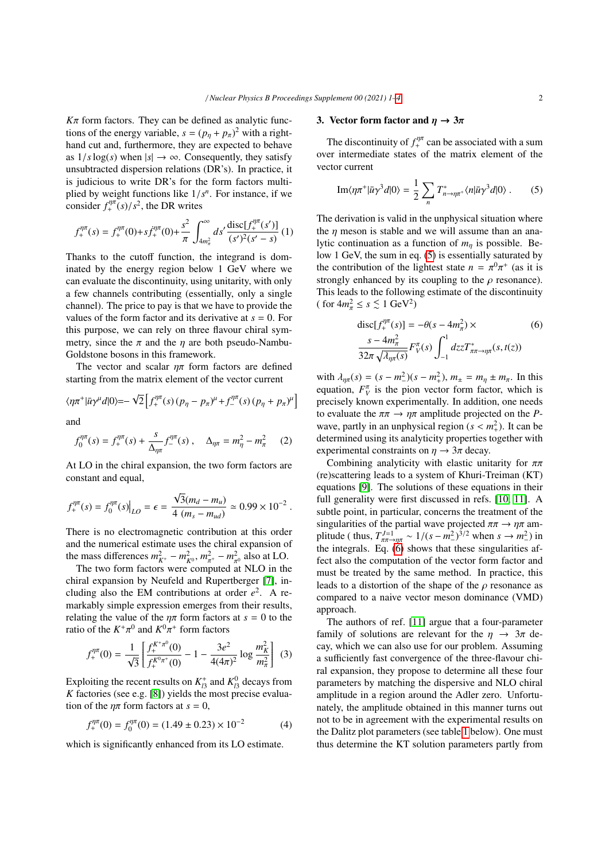$K\pi$  form factors. They can be defined as analytic functions of the energy variable,  $s = (p_{\eta} + p_{\pi})^2$  with a righthand cut and, furthermore, they are expected to behave as  $1/s \log(s)$  when  $|s| \to \infty$ . Consequently, they satisfy unsubtracted dispersion relations (DR's). In practice, it is judicious to write DR's for the form factors multiplied by weight functions like  $1/s^n$ . For instance, if we consider  $f^{\eta\pi}(s)/s^2$  the DR writes consider  $f_+^{\eta\pi}(s)/s^2$ , the DR writes

$$
f_{+}^{\eta\pi}(s) = f_{+}^{\eta\pi}(0) + sf_{+}^{\eta\pi}(0) + \frac{s^2}{\pi} \int_{4m_{\pi}^2}^{\infty} ds' \frac{\text{disc}[f_{+}^{\eta\pi}(s')]}{(s')^2(s'-s)} (1)
$$

Thanks to the cutoff function, the integrand is dominated by the energy region below 1 GeV where we can evaluate the discontinuity, using unitarity, with only a few channels contributing (essentially, only a single channel). The price to pay is that we have to provide the values of the form factor and its derivative at *s* = 0. For this purpose, we can rely on three flavour chiral symmetry, since the  $\pi$  and the  $\eta$  are both pseudo-Nambu-Goldstone bosons in this framework.

The vector and scalar  $n\pi$  form factors are defined starting from the matrix element of the vector current

$$
\langle \eta \pi^+ | \bar{u} \gamma^{\mu} d | 0 \rangle = - \sqrt{2} \left[ f_+^{\eta \pi}(s) (p_{\eta} - p_{\pi})^{\mu} + f_-^{\eta \pi}(s) (p_{\eta} + p_{\pi})^{\mu} \right]
$$

and

<span id="page-1-3"></span>
$$
f_0^{\eta\pi}(s) = f_+^{\eta\pi}(s) + \frac{s}{\Delta_{\eta\pi}} f_-^{\eta\pi}(s) , \quad \Delta_{\eta\pi} = m_\eta^2 - m_\pi^2 \qquad (2)
$$

At LO in the chiral expansion, the two form factors are constant and equal,

$$
f_{+}^{\eta\pi}(s) = f_{0}^{\eta\pi}(s)|_{LO} = \epsilon = \frac{\sqrt{3}(m_d - m_u)}{4 (m_s - m_{ud})} \simeq 0.99 \times 10^{-2}
$$

There is no electromagnetic contribution at this order and the numerical estimate uses the chiral expansion of the mass differences  $m_{K^+}^2 - m_{K^0}^2$ ,  $m_{\pi^+}^2 - m_{\pi^0}^2$  also at LO.

The two form factors were computed at NLO in the chiral expansion by Neufeld and Rupertberger [\[7\]](#page-3-7), including also the EM contributions at order  $e^2$ . A remarkably simple expression emerges from their results, relating the value of the  $\eta \pi$  form factors at  $s = 0$  to the ratio of the *K* + $^{0}$  and  $K^{0}$ π + form factors

$$
f_{+}^{\eta\pi}(0) = \frac{1}{\sqrt{3}} \left[ \frac{f_{+}^{K^{+}\pi^{0}}(0)}{f_{+}^{K^{0}\pi^{+}}(0)} - 1 - \frac{3e^{2}}{4(4\pi)^{2}} \log \frac{m_{K}^{2}}{m_{\pi}^{2}} \right] (3)
$$

Exploiting the recent results on  $K^+_{13}$  and  $K^0_{13}$  decays from *K* factories (see e.g. [\[8\]](#page-3-8)) yields the most precise evaluation of the  $\eta \pi$  form factors at  $s = 0$ ,

<span id="page-1-2"></span>
$$
f_+^{\eta\pi}(0) = f_0^{\eta\pi}(0) = (1.49 \pm 0.23) \times 10^{-2} \tag{4}
$$

which is significantly enhanced from its LO estimate.

## 3. Vector form factor and  $\eta \to 3\pi$

The discontinuity of  $f_+^{\eta\pi}$  can be associated with a sum over intermediate states of the matrix element of the vector current

<span id="page-1-0"></span>
$$
\mathrm{Im}\langle \eta \pi^+ |\bar{u}\gamma^3 d|0\rangle = \frac{1}{2} \sum_n T^*_{n \to \eta \pi^+} \langle n|\bar{u}\gamma^3 d|0\rangle . \tag{5}
$$

The derivation is valid in the unphysical situation where the  $\eta$  meson is stable and we will assume than an analytic continuation as a function of *<sup>m</sup>*η is possible. Below 1 GeV, the sum in eq. [\(5\)](#page-1-0) is essentially saturated by the contribution of the lightest state  $n = \pi^0 \pi^+$  (as it is strongly enhanced by its counting to the *o* resonance) strongly enhanced by its coupling to the  $\rho$  resonance).<br>This leads to the following estimate of the discontinuity This leads to the following estimate of the discontinuity ( for  $4m_{\pi}^2 \leq s \lesssim 1$  GeV<sup>2</sup>)

<span id="page-1-1"></span>
$$
\text{disc}[f_+^{\eta\pi}(s)] = -\theta(s - 4m_\pi^2) \times \tag{6}
$$
\n
$$
\frac{s - 4m_\pi^2}{32\pi\sqrt{\lambda_{\eta\pi}(s)}} F_V^\pi(s) \int_{-1}^1 dz z T_{\pi\pi \to \eta\pi}^*(s, t(z))
$$

with  $\lambda_{\eta\pi}(s) = (s - m^2)(s - m^2)$ ,  $m_{\pm} = m_{\eta} \pm m_{\pi}$ . In this equation  $F^{\pi}$  is the pion vector form factor which is equation,  $F_V^{\pi}$  is the pion vector form factor, which is precisely known experimentally. In addition, one needs to evaluate the  $\pi \pi \to \eta \pi$  amplitude projected on the *P*wave, partly in an unphysical region  $(s < m<sub>1</sub><sup>2</sup>)$ . It can be<br>determined using its analyticity properties together with determined using its analyticity properties together with experimental constraints on  $\eta \rightarrow 3\pi$  decay.

Combining analyticity with elastic unitarity for  $\pi\pi$ (re)scattering leads to a system of Khuri-Treiman (KT) equations [\[9\]](#page-3-9). The solutions of these equations in their full generality were first discussed in refs. [\[10,](#page-3-10) [11\]](#page-3-11). A subtle point, in particular, concerns the treatment of the singularities of the partial wave projected  $\pi \pi \rightarrow \eta \pi$  amplitude ( thus,  $T_{\pi\pi\to\eta\pi}^{J=1} \sim 1/(s-m_{-}^{2})^{3/2}$  when  $s \to m_{-}^{2}$ ) in<br>the integrals  $\overline{B}$  (6) shows that these singularities af the integrals. Eq.  $(6)$  shows that these singularities affect also the computation of the vector form factor and must be treated by the same method. In practice, this leads to a distortion of the shape of the  $\rho$  resonance as compared to a naive vector meson dominance (VMD) approach.

The authors of ref. [\[11\]](#page-3-11) argue that a four-parameter family of solutions are relevant for the  $n \to 3\pi$  decay, which we can also use for our problem. Assuming a sufficiently fast convergence of the three-flavour chiral expansion, they propose to determine all these four parameters by matching the dispersive and NLO chiral amplitude in a region around the Adler zero. Unfortunately, the amplitude obtained in this manner turns out not to be in agreement with the experimental results on the Dalitz plot parameters (see table [1](#page-2-0) below). One must thus determine the KT solution parameters partly from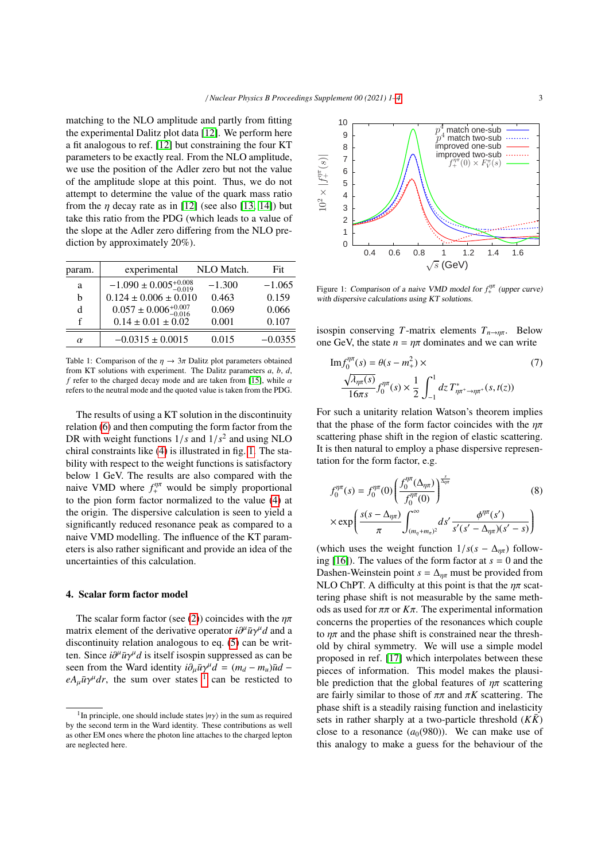matching to the NLO amplitude and partly from fitting the experimental Dalitz plot data [\[12\]](#page-3-12). We perform here a fit analogous to ref. [\[12\]](#page-3-12) but constraining the four KT parameters to be exactly real. From the NLO amplitude, we use the position of the Adler zero but not the value of the amplitude slope at this point. Thus, we do not attempt to determine the value of the quark mass ratio from the  $\eta$  decay rate as in [\[12\]](#page-3-12) (see also [\[13,](#page-3-13) [14\]](#page-3-14)) but take this ratio from the PDG (which leads to a value of the slope at the Adler zero differing from the NLO prediction by approximately 20%).

| param.   | experimental                         | NLO Match. | Fit       |
|----------|--------------------------------------|------------|-----------|
| a        | $-1.090 \pm 0.005_{-0.019}^{+0.008}$ | $-1.300$   | $-1.065$  |
| h        | $0.124 \pm 0.006 \pm 0.010$          | 0.463      | 0.159     |
| d        | $0.057 \pm 0.006_{-0.016}^{+0.007}$  | 0.069      | 0.066     |
| f        | $0.14 \pm 0.01 \pm 0.02$             | 0.001      | 0.107     |
| $\alpha$ | $-0.0315 \pm 0.0015$                 | 0.015      | $-0.0355$ |
|          |                                      |            |           |

<span id="page-2-0"></span>Table 1: Comparison of the  $\eta \to 3\pi$  Dalitz plot parameters obtained from KT solutions with experiment. The Dalitz parameters *a*, *b*, *d*, *f* refer to the charged decay mode and are taken from [\[15\]](#page-3-15), while  $\alpha$ refers to the neutral mode and the quoted value is taken from the PDG.

The results of using a KT solution in the discontinuity relation [\(6\)](#page-1-1) and then computing the form factor from the DR with weight functions  $1/s$  and  $1/s<sup>2</sup>$  and using NLO<br>chiral constraints like (4) is illustrated in fig. 1. The stachiral constraints like [\(4\)](#page-1-2) is illustrated in fig. [1.](#page-2-1) The stability with respect to the weight functions is satisfactory below 1 GeV. The results are also compared with the naive VMD where  $f_{+}^{\prime\prime\prime\prime}$  would be simply proportional to the pion form factor normalized to the value [\(4\)](#page-1-2) at the origin. The dispersive calculation is seen to yield a significantly reduced resonance peak as compared to a naive VMD modelling. The influence of the KT parameters is also rather significant and provide an idea of the uncertainties of this calculation.

## 4. Scalar form factor model

The scalar form factor (see [\(2\)](#page-1-3)) coincides with the  $\eta\pi$ matrix element of the derivative operator  $i\partial^{\mu}\bar{u}\gamma^{\mu}d$  and a discontinuity relation analogous to eq. (5) can be writdiscontinuity relation analogous to eq. [\(5\)](#page-1-0) can be written. Since  $i\partial^{\mu}\bar{u}\gamma^{\mu}d$  is itself isospin suppressed as can be seen from the Ward identity  $i\partial \bar{u}\gamma^{\mu}d = (m_{\mu} - m_{\mu})\bar{u}d =$ seen from the Ward identity  $i\partial_{\mu}\bar{u}\gamma^{\mu}d = (m_d - m_u)\bar{u}d - \rho A \bar{u}\gamma^{\mu}dr$  the sum over states <sup>1</sup> can be resticted to  $eA_\mu \bar{u}\gamma^\mu dr$ , the sum over states <sup>1</sup> can be resticted to



<span id="page-2-1"></span>Figure 1: Comparison of a naive VMD model for  $f_+^{\mu\mu}$  (upper curve) with dispersive calculations using KT solutions.

isospin conserving *T*-matrix elements  $T_{n\rightarrow\eta\pi}$ . Below one GeV, the state  $n = \eta \pi$  dominates and we can write

Im 
$$
f_0^{\eta\pi}(s) = \theta(s - m_+^2) \times
$$
 (7)  
\n
$$
\frac{\sqrt{\lambda_{\eta\pi}(s)}}{16\pi s} f_0^{\eta\pi}(s) \times \frac{1}{2} \int_{-1}^{1} dz \, T_{\eta\pi^+ \to \eta\pi^+}^*(s, t(z))
$$

For such a unitarity relation Watson's theorem implies that the phase of the form factor coincides with the  $n\pi$ scattering phase shift in the region of elastic scattering. It is then natural to employ a phase dispersive representation for the form factor, e.g.

<span id="page-2-3"></span>
$$
f_0^{\eta\pi}(s) = f_0^{\eta\pi}(0) \left( \frac{f_0^{\eta\pi}(\Delta_{\eta\pi})}{f_0^{\eta\pi}(0)} \right)^{\frac{s}{\Delta_{\eta\pi}}} \qquad (8)
$$

$$
\times \exp \left( \frac{s(s - \Delta_{\eta\pi})}{\pi} \int_{(m_\eta + m_\pi)^2}^{\infty} ds' \frac{\phi^{\eta\pi}(s')}{s'(s' - \Delta_{\eta\pi})(s' - s)} \right)
$$

(which uses the weight function  $1/s(s - \Delta_{\eta\pi})$  following  $[16]$ ). The values of the form factor at  $s = 0$  and the Dashen-Weinstein point  $s = \Delta_{\eta\pi}$  must be provided from NLO ChPT. A difficulty at this point is that the  $\eta \pi$  scattering phase shift is not measurable by the same methods as used for  $\pi\pi$  or  $K\pi$ . The experimental information concerns the properties of the resonances which couple to  $n\pi$  and the phase shift is constrained near the threshold by chiral symmetry. We will use a simple model proposed in ref. [\[17\]](#page-3-17) which interpolates between these pieces of information. This model makes the plausible prediction that the global features of  $\eta\pi$  scattering are fairly similar to those of  $\pi\pi$  and  $\pi K$  scattering. The phase shift is a steadily raising function and inelasticity sets in rather sharply at a two-particle threshold  $(K\bar{K})$ close to a resonance  $(a_0(980))$ . We can make use of this analogy to make a guess for the behaviour of the

<span id="page-2-2"></span><sup>&</sup>lt;sup>1</sup>In principle, one should include states  $|n\gamma\rangle$  in the sum as required the second term in the Ward identity. These contributions as well by the second term in the Ward identity. These contributions as well as other EM ones where the photon line attaches to the charged lepton are neglected here.